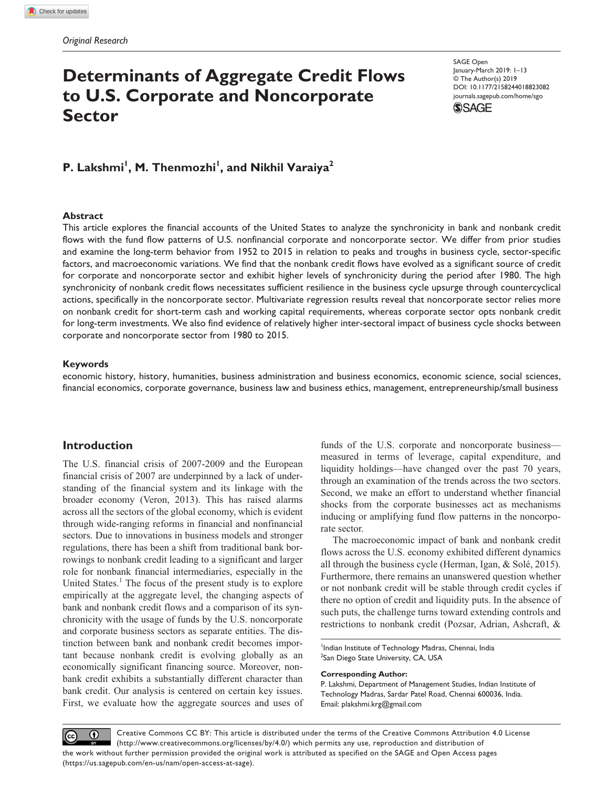# **Determinants of Aggregate Credit Flows to U.S. Corporate and Noncorporate Sector**

DOI: 10.1177/2158244018823082 SAGE Open January-March 2019: 1–13 © The Author(s) 2019 [journals.sagepub.com/home/sgo](https://journals.sagepub.com/home/sgo)



P. Lakshmi<sup>I</sup>, M. Thenmozhi<sup>I</sup>, and Nikhil Varaiya<sup>2</sup>

### **Abstract**

This article explores the financial accounts of the United States to analyze the synchronicity in bank and nonbank credit flows with the fund flow patterns of U.S. nonfinancial corporate and noncorporate sector. We differ from prior studies and examine the long-term behavior from 1952 to 2015 in relation to peaks and troughs in business cycle, sector-specific factors, and macroeconomic variations. We find that the nonbank credit flows have evolved as a significant source of credit for corporate and noncorporate sector and exhibit higher levels of synchronicity during the period after 1980. The high synchronicity of nonbank credit flows necessitates sufficient resilience in the business cycle upsurge through countercyclical actions, specifically in the noncorporate sector. Multivariate regression results reveal that noncorporate sector relies more on nonbank credit for short-term cash and working capital requirements, whereas corporate sector opts nonbank credit for long-term investments. We also find evidence of relatively higher inter-sectoral impact of business cycle shocks between corporate and noncorporate sector from 1980 to 2015.

#### **Keywords**

economic history, history, humanities, business administration and business economics, economic science, social sciences, financial economics, corporate governance, business law and business ethics, management, entrepreneurship/small business

# **Introduction**

The U.S. financial crisis of 2007-2009 and the European financial crisis of 2007 are underpinned by a lack of understanding of the financial system and its linkage with the broader economy (Veron, 2013). This has raised alarms across all the sectors of the global economy, which is evident through wide-ranging reforms in financial and nonfinancial sectors. Due to innovations in business models and stronger regulations, there has been a shift from traditional bank borrowings to nonbank credit leading to a significant and larger role for nonbank financial intermediaries, especially in the United States.<sup>1</sup> The focus of the present study is to explore empirically at the aggregate level, the changing aspects of bank and nonbank credit flows and a comparison of its synchronicity with the usage of funds by the U.S. noncorporate and corporate business sectors as separate entities. The distinction between bank and nonbank credit becomes important because nonbank credit is evolving globally as an economically significant financing source. Moreover, nonbank credit exhibits a substantially different character than bank credit. Our analysis is centered on certain key issues. First, we evaluate how the aggregate sources and uses of

funds of the U.S. corporate and noncorporate business measured in terms of leverage, capital expenditure, and liquidity holdings—have changed over the past 70 years, through an examination of the trends across the two sectors. Second, we make an effort to understand whether financial shocks from the corporate businesses act as mechanisms inducing or amplifying fund flow patterns in the noncorporate sector.

The macroeconomic impact of bank and nonbank credit flows across the U.S. economy exhibited different dynamics all through the business cycle (Herman, Igan, & Solé, 2015). Furthermore, there remains an unanswered question whether or not nonbank credit will be stable through credit cycles if there no option of credit and liquidity puts. In the absence of such puts, the challenge turns toward extending controls and restrictions to nonbank credit (Pozsar, Adrian, Ashcraft, &

<sup>1</sup>Indian Institute of Technology Madras, Chennai, India <sup>2</sup>San Diego State University, CA, USA

#### **Corresponding Author:**

P. Lakshmi, Department of Management Studies, Indian Institute of Technology Madras, Sardar Patel Road, Chennai 600036, India. Email: plakshmi.krg@gmail.com

Creative Commons CC BY: This article is distributed under the terms of the Creative Commons Attribution 4.0 License  $\odot$  $\left(\mathrm{cc}\right)$ (http://www.creativecommons.org/licenses/by/4.0/) which permits any use, reproduction and distribution of the work without further permission provided the original work is attributed as specified on the SAGE and Open Access pages (https://us.sagepub.com/en-us/nam/open-access-at-sage).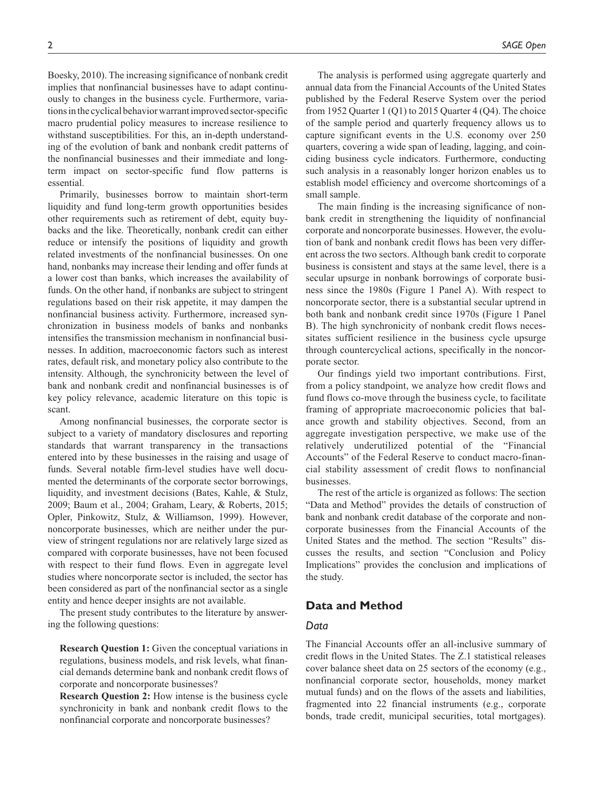Boesky, 2010). The increasing significance of nonbank credit implies that nonfinancial businesses have to adapt continuously to changes in the business cycle. Furthermore, variations in the cyclical behavior warrant improved sector-specific macro prudential policy measures to increase resilience to withstand susceptibilities. For this, an in-depth understanding of the evolution of bank and nonbank credit patterns of the nonfinancial businesses and their immediate and longterm impact on sector-specific fund flow patterns is essential.

Primarily, businesses borrow to maintain short-term liquidity and fund long-term growth opportunities besides other requirements such as retirement of debt, equity buybacks and the like. Theoretically, nonbank credit can either reduce or intensify the positions of liquidity and growth related investments of the nonfinancial businesses. On one hand, nonbanks may increase their lending and offer funds at a lower cost than banks, which increases the availability of funds. On the other hand, if nonbanks are subject to stringent regulations based on their risk appetite, it may dampen the nonfinancial business activity. Furthermore, increased synchronization in business models of banks and nonbanks intensifies the transmission mechanism in nonfinancial businesses. In addition, macroeconomic factors such as interest rates, default risk, and monetary policy also contribute to the intensity. Although, the synchronicity between the level of bank and nonbank credit and nonfinancial businesses is of key policy relevance, academic literature on this topic is scant.

Among nonfinancial businesses, the corporate sector is subject to a variety of mandatory disclosures and reporting standards that warrant transparency in the transactions entered into by these businesses in the raising and usage of funds. Several notable firm-level studies have well documented the determinants of the corporate sector borrowings, liquidity, and investment decisions (Bates, Kahle, & Stulz, 2009; Baum et al., 2004; Graham, Leary, & Roberts, 2015; Opler, Pinkowitz, Stulz, & Williamson, 1999). However, noncorporate businesses, which are neither under the purview of stringent regulations nor are relatively large sized as compared with corporate businesses, have not been focused with respect to their fund flows. Even in aggregate level studies where noncorporate sector is included, the sector has been considered as part of the nonfinancial sector as a single entity and hence deeper insights are not available.

The present study contributes to the literature by answering the following questions:

**Research Question 1:** Given the conceptual variations in regulations, business models, and risk levels, what financial demands determine bank and nonbank credit flows of corporate and noncorporate businesses?

**Research Question 2:** How intense is the business cycle synchronicity in bank and nonbank credit flows to the nonfinancial corporate and noncorporate businesses?

The analysis is performed using aggregate quarterly and annual data from the Financial Accounts of the United States published by the Federal Reserve System over the period from 1952 Quarter 1 (Q1) to 2015 Quarter 4 (Q4). The choice of the sample period and quarterly frequency allows us to capture significant events in the U.S. economy over 250 quarters, covering a wide span of leading, lagging, and coinciding business cycle indicators. Furthermore, conducting such analysis in a reasonably longer horizon enables us to establish model efficiency and overcome shortcomings of a small sample.

The main finding is the increasing significance of nonbank credit in strengthening the liquidity of nonfinancial corporate and noncorporate businesses. However, the evolution of bank and nonbank credit flows has been very different across the two sectors. Although bank credit to corporate business is consistent and stays at the same level, there is a secular upsurge in nonbank borrowings of corporate business since the 1980s (Figure 1 Panel A). With respect to noncorporate sector, there is a substantial secular uptrend in both bank and nonbank credit since 1970s (Figure 1 Panel B). The high synchronicity of nonbank credit flows necessitates sufficient resilience in the business cycle upsurge through countercyclical actions, specifically in the noncorporate sector.

Our findings yield two important contributions. First, from a policy standpoint, we analyze how credit flows and fund flows co-move through the business cycle, to facilitate framing of appropriate macroeconomic policies that balance growth and stability objectives. Second, from an aggregate investigation perspective, we make use of the relatively underutilized potential of the "Financial Accounts" of the Federal Reserve to conduct macro-financial stability assessment of credit flows to nonfinancial businesses.

The rest of the article is organized as follows: The section "Data and Method" provides the details of construction of bank and nonbank credit database of the corporate and noncorporate businesses from the Financial Accounts of the United States and the method. The section "Results" discusses the results, and section "Conclusion and Policy Implications" provides the conclusion and implications of the study.

## **Data and Method**

# *Data*

The Financial Accounts offer an all-inclusive summary of credit flows in the United States. The Z.1 statistical releases cover balance sheet data on 25 sectors of the economy (e.g., nonfinancial corporate sector, households, money market mutual funds) and on the flows of the assets and liabilities, fragmented into 22 financial instruments (e.g., corporate bonds, trade credit, municipal securities, total mortgages).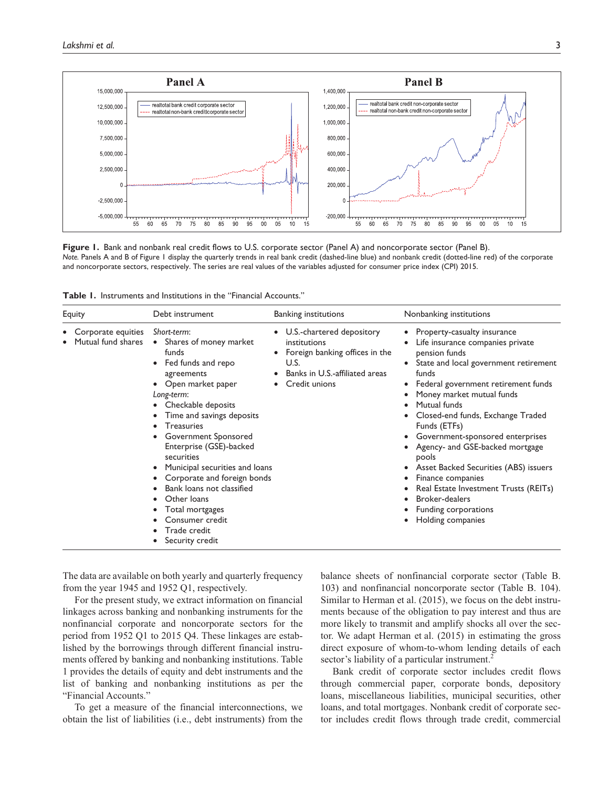

**Figure 1.** Bank and nonbank real credit flows to U.S. corporate sector (Panel A) and noncorporate sector (Panel B). *Note.* Panels A and B of Figure 1 display the quarterly trends in real bank credit (dashed-line blue) and nonbank credit (dotted-line red) of the corporate and noncorporate sectors, respectively. The series are real values of the variables adjusted for consumer price index (CPI) 2015.

| <b>Table 1.</b> Instruments and Institutions in the "Financial Accounts." |  |
|---------------------------------------------------------------------------|--|
|---------------------------------------------------------------------------|--|

| Equity                                   | Debt instrument                                                                                                                                                                                                                                                                                                                                                                                                                                                     | <b>Banking institutions</b>                                                                                                            | Nonbanking institutions                                                                                                                                                                                                                                                                                                                                                                                                                                                                                                                                                   |
|------------------------------------------|---------------------------------------------------------------------------------------------------------------------------------------------------------------------------------------------------------------------------------------------------------------------------------------------------------------------------------------------------------------------------------------------------------------------------------------------------------------------|----------------------------------------------------------------------------------------------------------------------------------------|---------------------------------------------------------------------------------------------------------------------------------------------------------------------------------------------------------------------------------------------------------------------------------------------------------------------------------------------------------------------------------------------------------------------------------------------------------------------------------------------------------------------------------------------------------------------------|
| Corporate equities<br>Mutual fund shares | Short-term:<br>Shares of money market<br>$\bullet$<br>funds<br>Fed funds and repo<br>agreements<br>• Open market paper<br>Long-term:<br>Checkable deposits<br>Time and savings deposits<br><b>Treasuries</b><br>Government Sponsored<br>Enterprise (GSE)-backed<br>securities<br>Municipal securities and loans<br>Corporate and foreign bonds<br>Bank loans not classified<br>Other loans<br>Total mortgages<br>Consumer credit<br>Trade credit<br>Security credit | U.S.-chartered depository<br>institutions<br>Foreign banking offices in the<br>U.S.<br>Banks in U.S.-affiliated areas<br>Credit unions | Property-casualty insurance<br>$\bullet$<br>Life insurance companies private<br>pension funds<br>State and local government retirement<br>funds<br>Federal government retirement funds<br>٠<br>Money market mutual funds<br>Mutual funds<br>٠<br>Closed-end funds, Exchange Traded<br>Funds (ETFs)<br>Government-sponsored enterprises<br>٠<br>Agency- and GSE-backed mortgage<br>pools<br>Asset Backed Securities (ABS) issuers<br>Finance companies<br>Real Estate Investment Trusts (REITs)<br>٠<br><b>Broker-dealers</b><br>Funding corporations<br>Holding companies |

The data are available on both yearly and quarterly frequency from the year 1945 and 1952 Q1, respectively.

For the present study, we extract information on financial linkages across banking and nonbanking instruments for the nonfinancial corporate and noncorporate sectors for the period from 1952 Q1 to 2015 Q4. These linkages are established by the borrowings through different financial instruments offered by banking and nonbanking institutions. Table 1 provides the details of equity and debt instruments and the list of banking and nonbanking institutions as per the "Financial Accounts."

To get a measure of the financial interconnections, we obtain the list of liabilities (i.e., debt instruments) from the balance sheets of nonfinancial corporate sector (Table B. 103) and nonfinancial noncorporate sector (Table B. 104). Similar to Herman et al. (2015), we focus on the debt instruments because of the obligation to pay interest and thus are more likely to transmit and amplify shocks all over the sector. We adapt Herman et al. (2015) in estimating the gross direct exposure of whom-to-whom lending details of each sector's liability of a particular instrument.<sup>2</sup>

Bank credit of corporate sector includes credit flows through commercial paper, corporate bonds, depository loans, miscellaneous liabilities, municipal securities, other loans, and total mortgages. Nonbank credit of corporate sector includes credit flows through trade credit, commercial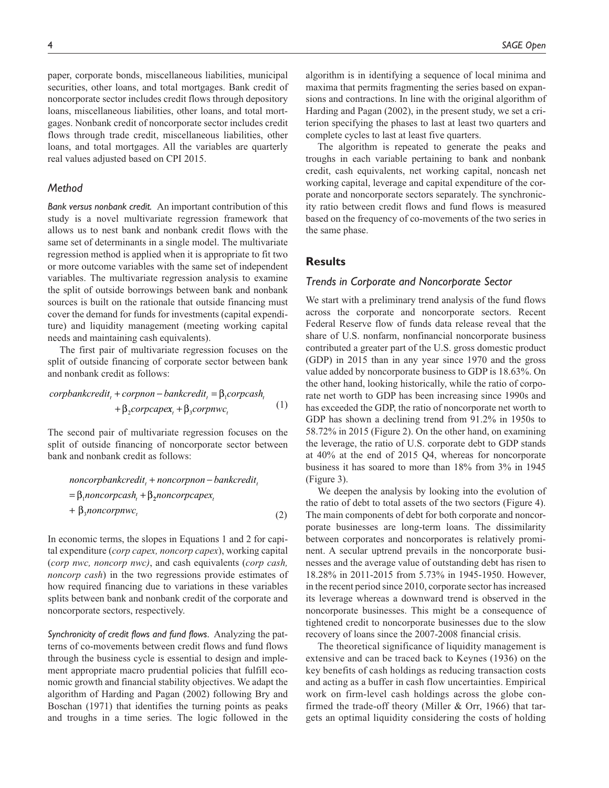paper, corporate bonds, miscellaneous liabilities, municipal securities, other loans, and total mortgages. Bank credit of noncorporate sector includes credit flows through depository loans, miscellaneous liabilities, other loans, and total mortgages. Nonbank credit of noncorporate sector includes credit flows through trade credit, miscellaneous liabilities, other loans, and total mortgages. All the variables are quarterly real values adjusted based on CPI 2015.

### *Method*

*Bank versus nonbank credit.* An important contribution of this study is a novel multivariate regression framework that allows us to nest bank and nonbank credit flows with the same set of determinants in a single model. The multivariate regression method is applied when it is appropriate to fit two or more outcome variables with the same set of independent variables. The multivariate regression analysis to examine the split of outside borrowings between bank and nonbank sources is built on the rationale that outside financing must cover the demand for funds for investments (capital expenditure) and liquidity management (meeting working capital needs and maintaining cash equivalents).

The first pair of multivariate regression focuses on the split of outside financing of corporate sector between bank and nonbank credit as follows:

$$
corpbankcredit_{t} + corpono - bankcredit_{t} = \beta_{1} corpcash_{t}
$$

$$
+ \beta_{2} corpcapex_{t} + \beta_{3} corpnwc_{t}
$$
 (1)

The second pair of multivariate regression focuses on the split of outside financing of noncorporate sector between bank and nonbank credit as follows:

noncorpbankcredit<sub>t</sub> + noncorpono – bankcredit<sub>t</sub>  
= 
$$
\beta_1
$$
noncorpcash<sub>t</sub> +  $\beta_2$ noncorpcapex<sub>t</sub>  
+  $\beta_3$ noncorpnwc<sub>t</sub> (2)

In economic terms, the slopes in Equations 1 and 2 for capital expenditure (*corp capex, noncorp capex*), working capital (*corp nwc, noncorp nwc)*, and cash equivalents (*corp cash, noncorp cash*) in the two regressions provide estimates of how required financing due to variations in these variables splits between bank and nonbank credit of the corporate and noncorporate sectors, respectively.

*Synchronicity of credit flows and fund flows.* Analyzing the patterns of co-movements between credit flows and fund flows through the business cycle is essential to design and implement appropriate macro prudential policies that fulfill economic growth and financial stability objectives. We adapt the algorithm of Harding and Pagan (2002) following Bry and Boschan (1971) that identifies the turning points as peaks and troughs in a time series. The logic followed in the algorithm is in identifying a sequence of local minima and maxima that permits fragmenting the series based on expansions and contractions. In line with the original algorithm of Harding and Pagan (2002), in the present study, we set a criterion specifying the phases to last at least two quarters and complete cycles to last at least five quarters.

The algorithm is repeated to generate the peaks and troughs in each variable pertaining to bank and nonbank credit, cash equivalents, net working capital, noncash net working capital, leverage and capital expenditure of the corporate and noncorporate sectors separately. The synchronicity ratio between credit flows and fund flows is measured based on the frequency of co-movements of the two series in the same phase.

### **Results**

### *Trends in Corporate and Noncorporate Sector*

We start with a preliminary trend analysis of the fund flows across the corporate and noncorporate sectors. Recent Federal Reserve flow of funds data release reveal that the share of U.S. nonfarm, nonfinancial noncorporate business contributed a greater part of the U.S. gross domestic product (GDP) in 2015 than in any year since 1970 and the gross value added by noncorporate business to GDP is 18.63%. On the other hand, looking historically, while the ratio of corporate net worth to GDP has been increasing since 1990s and has exceeded the GDP, the ratio of noncorporate net worth to GDP has shown a declining trend from 91.2% in 1950s to 58.72% in 2015 (Figure 2). On the other hand, on examining the leverage, the ratio of U.S. corporate debt to GDP stands at 40% at the end of 2015 Q4, whereas for noncorporate business it has soared to more than 18% from 3% in 1945 (Figure 3).

We deepen the analysis by looking into the evolution of the ratio of debt to total assets of the two sectors (Figure 4). The main components of debt for both corporate and noncorporate businesses are long-term loans. The dissimilarity between corporates and noncorporates is relatively prominent. A secular uptrend prevails in the noncorporate businesses and the average value of outstanding debt has risen to 18.28% in 2011-2015 from 5.73% in 1945-1950. However, in the recent period since 2010, corporate sector has increased its leverage whereas a downward trend is observed in the noncorporate businesses. This might be a consequence of tightened credit to noncorporate businesses due to the slow recovery of loans since the 2007-2008 financial crisis.

The theoretical significance of liquidity management is extensive and can be traced back to Keynes (1936) on the key benefits of cash holdings as reducing transaction costs and acting as a buffer in cash flow uncertainties. Empirical work on firm-level cash holdings across the globe confirmed the trade-off theory (Miller & Orr, 1966) that targets an optimal liquidity considering the costs of holding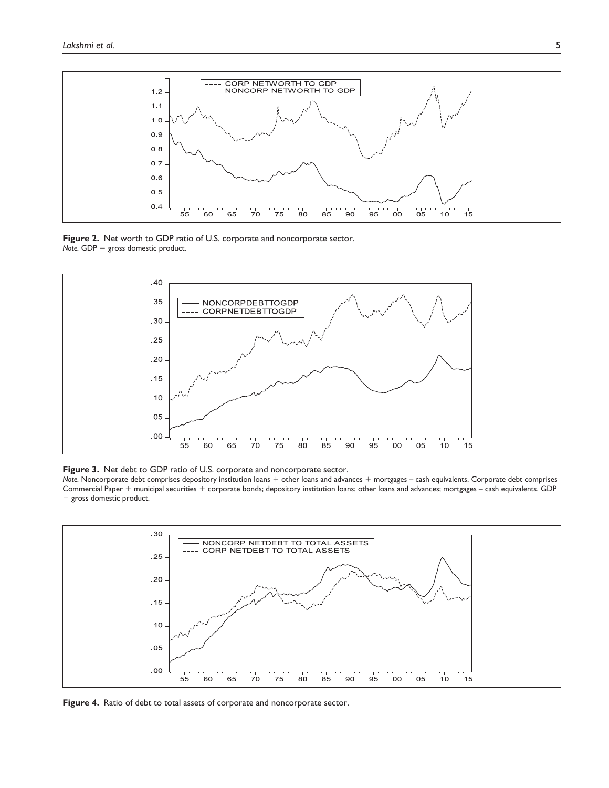

**Figure 2.** Net worth to GDP ratio of U.S. corporate and noncorporate sector. *Note.* GDP = gross domestic product.



**Figure 3.** Net debt to GDP ratio of U.S. corporate and noncorporate sector.

*Note.* Noncorporate debt comprises depository institution loans + other loans and advances + mortgages – cash equivalents. Corporate debt comprises Commercial Paper + municipal securities + corporate bonds; depository institution loans; other loans and advances; mortgages – cash equivalents. GDP = gross domestic product.



**Figure 4.** Ratio of debt to total assets of corporate and noncorporate sector.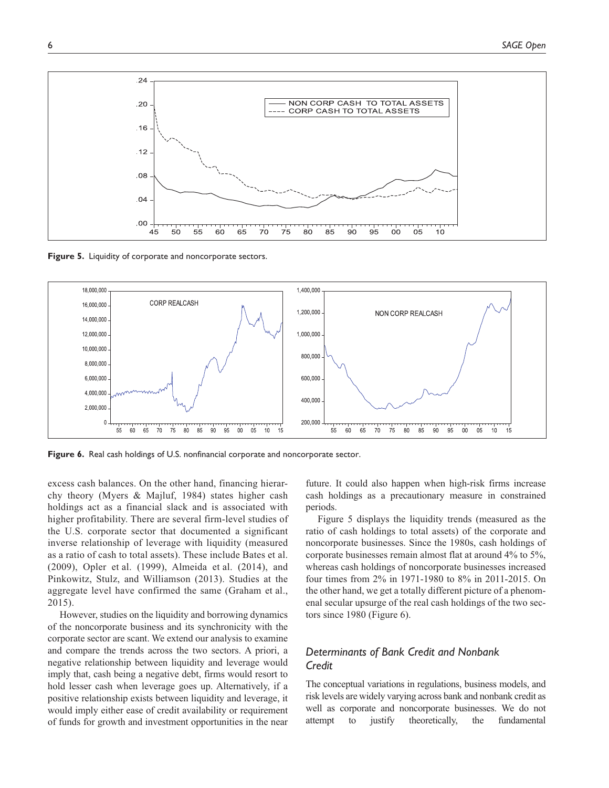

**Figure 5.** Liquidity of corporate and noncorporate sectors.



**Figure 6.** Real cash holdings of U.S. nonfinancial corporate and noncorporate sector.

excess cash balances. On the other hand, financing hierarchy theory (Myers & Majluf, 1984) states higher cash holdings act as a financial slack and is associated with higher profitability. There are several firm-level studies of the U.S. corporate sector that documented a significant inverse relationship of leverage with liquidity (measured as a ratio of cash to total assets). These include Bates et al. (2009), Opler et al. (1999), Almeida et al. (2014), and Pinkowitz, Stulz, and Williamson (2013). Studies at the aggregate level have confirmed the same (Graham et al., 2015).

However, studies on the liquidity and borrowing dynamics of the noncorporate business and its synchronicity with the corporate sector are scant. We extend our analysis to examine and compare the trends across the two sectors. A priori, a negative relationship between liquidity and leverage would imply that, cash being a negative debt, firms would resort to hold lesser cash when leverage goes up. Alternatively, if a positive relationship exists between liquidity and leverage, it would imply either ease of credit availability or requirement of funds for growth and investment opportunities in the near

future. It could also happen when high-risk firms increase cash holdings as a precautionary measure in constrained periods.

Figure 5 displays the liquidity trends (measured as the ratio of cash holdings to total assets) of the corporate and noncorporate businesses. Since the 1980s, cash holdings of corporate businesses remain almost flat at around 4% to 5%, whereas cash holdings of noncorporate businesses increased four times from 2% in 1971-1980 to 8% in 2011-2015. On the other hand, we get a totally different picture of a phenomenal secular upsurge of the real cash holdings of the two sectors since 1980 (Figure 6).

# *Determinants of Bank Credit and Nonbank Credit*

The conceptual variations in regulations, business models, and risk levels are widely varying across bank and nonbank credit as well as corporate and noncorporate businesses. We do not attempt to justify theoretically, the fundamental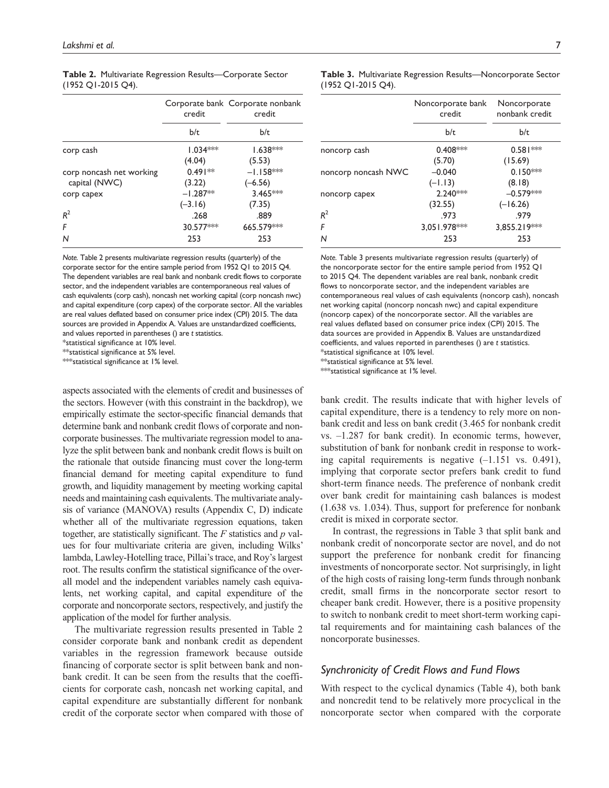|                          | credit     | Corporate bank Corporate nonbank<br>credit |
|--------------------------|------------|--------------------------------------------|
|                          | b/t        | b/t                                        |
| corp cash                | $1.034***$ | $1.638***$                                 |
|                          | (4.04)     | (5.53)                                     |
| corp noncash net working | $0.491**$  | $-1.158***$                                |
| capital (NWC)            | (3.22)     | $(-6.56)$                                  |
| corp capex               | $-1.287**$ | 3.465***                                   |
|                          | $(-3.16)$  | (7.35)                                     |
| $R^2$                    | .268       | .889                                       |
| F                        | 30.577***  | 665.579***                                 |
| N                        | 253        | 253                                        |

**Table 2.** Multivariate Regression Results—Corporate Sector (1952 Q1-2015 Q4).

*Note.* Table 2 presents multivariate regression results (quarterly) of the corporate sector for the entire sample period from 1952 Q1 to 2015 Q4. The dependent variables are real bank and nonbank credit flows to corporate sector, and the independent variables are contemporaneous real values of cash equivalents (corp cash), noncash net working capital (corp noncash nwc) and capital expenditure (corp capex) of the corporate sector. All the variables are real values deflated based on consumer price index (CPI) 2015. The data sources are provided in Appendix A. Values are unstandardized coefficients, and values reported in parentheses () are *t* statistics.

\*statistical significance at 10% level.

\*\*statistical significance at 5% level.

\*\*\*statistical significance at 1% level.

aspects associated with the elements of credit and businesses of the sectors. However (with this constraint in the backdrop), we empirically estimate the sector-specific financial demands that determine bank and nonbank credit flows of corporate and noncorporate businesses. The multivariate regression model to analyze the split between bank and nonbank credit flows is built on the rationale that outside financing must cover the long-term financial demand for meeting capital expenditure to fund growth, and liquidity management by meeting working capital needs and maintaining cash equivalents. The multivariate analysis of variance (MANOVA) results (Appendix C, D) indicate whether all of the multivariate regression equations, taken together, are statistically significant. The *F* statistics and *p* values for four multivariate criteria are given, including Wilks' lambda, Lawley-Hotelling trace, Pillai's trace, and Roy's largest root. The results confirm the statistical significance of the overall model and the independent variables namely cash equivalents, net working capital, and capital expenditure of the corporate and noncorporate sectors, respectively, and justify the application of the model for further analysis.

The multivariate regression results presented in Table 2 consider corporate bank and nonbank credit as dependent variables in the regression framework because outside financing of corporate sector is split between bank and nonbank credit. It can be seen from the results that the coefficients for corporate cash, noncash net working capital, and capital expenditure are substantially different for nonbank credit of the corporate sector when compared with those of **Table 3.** Multivariate Regression Results—Noncorporate Sector (1952 Q1-2015 Q4).

|                     | Noncorporate bank<br>credit | Noncorporate<br>nonbank credit |
|---------------------|-----------------------------|--------------------------------|
|                     | b/t                         | b/t                            |
| noncorp cash        | $0.408***$                  | $0.581***$                     |
|                     | (5.70)                      | (15.69)                        |
| noncorp noncash NWC | $-0.040$                    | $0.150***$                     |
|                     | $(-1.13)$                   | (8.18)                         |
| noncorp capex       | 2.240***                    | $-0.579***$                    |
|                     | (32.55)                     | $(-16.26)$                     |
| $R^2$               | .973                        | .979                           |
| F                   | 3,051.978***                | 3,855.219***                   |
| N                   | 253                         | 253                            |

*Note.* Table 3 presents multivariate regression results (quarterly) of the noncorporate sector for the entire sample period from 1952 Q1 to 2015 Q4. The dependent variables are real bank, nonbank credit flows to noncorporate sector, and the independent variables are contemporaneous real values of cash equivalents (noncorp cash), noncash net working capital (noncorp noncash nwc) and capital expenditure (noncorp capex) of the noncorporate sector. All the variables are real values deflated based on consumer price index (CPI) 2015. The data sources are provided in Appendix B. Values are unstandardized coefficients, and values reported in parentheses () are *t* statistics. \*statistical significance at 10% level. \*\*statistical significance at 5% level.

\*\*\*statistical significance at 1% level.

bank credit. The results indicate that with higher levels of capital expenditure, there is a tendency to rely more on nonbank credit and less on bank credit (3.465 for nonbank credit vs. –1.287 for bank credit). In economic terms, however, substitution of bank for nonbank credit in response to working capital requirements is negative (–1.151 vs. 0.491), implying that corporate sector prefers bank credit to fund short-term finance needs. The preference of nonbank credit over bank credit for maintaining cash balances is modest (1.638 vs. 1.034). Thus, support for preference for nonbank credit is mixed in corporate sector.

In contrast, the regressions in Table 3 that split bank and nonbank credit of noncorporate sector are novel, and do not support the preference for nonbank credit for financing investments of noncorporate sector. Not surprisingly, in light of the high costs of raising long-term funds through nonbank credit, small firms in the noncorporate sector resort to cheaper bank credit. However, there is a positive propensity to switch to nonbank credit to meet short-term working capital requirements and for maintaining cash balances of the noncorporate businesses.

## *Synchronicity of Credit Flows and Fund Flows*

With respect to the cyclical dynamics (Table 4), both bank and noncredit tend to be relatively more procyclical in the noncorporate sector when compared with the corporate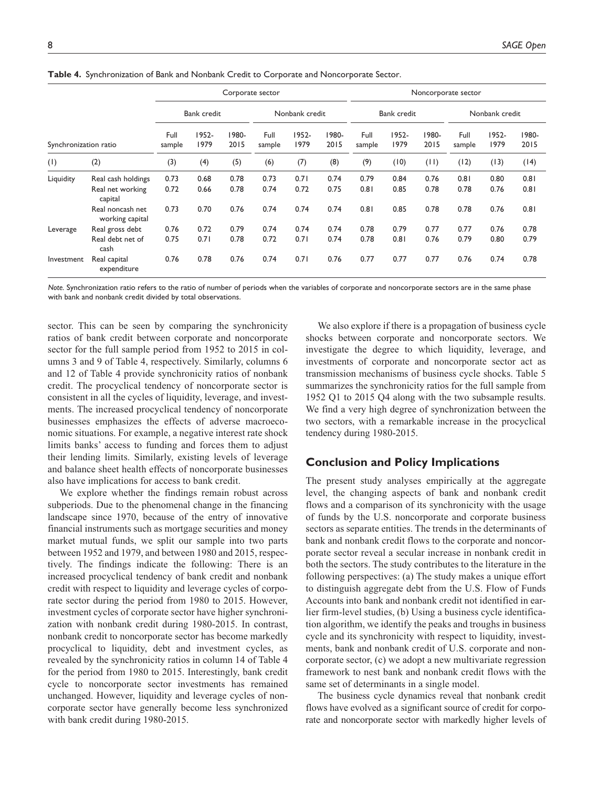|                       |                                     |                |                    |               | Corporate sector |                |               |                |               |               | Noncorporate sector |                |               |
|-----------------------|-------------------------------------|----------------|--------------------|---------------|------------------|----------------|---------------|----------------|---------------|---------------|---------------------|----------------|---------------|
|                       |                                     |                | <b>Bank credit</b> |               |                  | Nonbank credit |               |                | Bank credit   |               |                     | Nonbank credit |               |
| Synchronization ratio |                                     | Full<br>sample | 1952-<br>1979      | 1980-<br>2015 | Full<br>sample   | 1952-<br>1979  | 1980-<br>2015 | Full<br>sample | 1952-<br>1979 | 1980-<br>2015 | Full<br>sample      | 1952-<br>1979  | 1980-<br>2015 |
| (1)                   | (2)                                 | (3)            | (4)                | (5)           | (6)              | (7)            | (8)           | (9)            | (10)          | (11)          | (12)                | (13)           | (14)          |
| Liquidity             | Real cash holdings                  | 0.73           | 0.68               | 0.78          | 0.73             | 0.71           | 0.74          | 0.79           | 0.84          | 0.76          | 0.81                | 0.80           | 0.81          |
|                       | Real net working<br>capital         | 0.72           | 0.66               | 0.78          | 0.74             | 0.72           | 0.75          | 0.81           | 0.85          | 0.78          | 0.78                | 0.76           | 0.81          |
|                       | Real noncash net<br>working capital | 0.73           | 0.70               | 0.76          | 0.74             | 0.74           | 0.74          | 0.81           | 0.85          | 0.78          | 0.78                | 0.76           | 0.81          |
| Leverage              | Real gross debt                     | 0.76           | 0.72               | 0.79          | 0.74             | 0.74           | 0.74          | 0.78           | 0.79          | 0.77          | 0.77                | 0.76           | 0.78          |
|                       | Real debt net of<br>cash            | 0.75           | 0.71               | 0.78          | 0.72             | 0.71           | 0.74          | 0.78           | 0.81          | 0.76          | 0.79                | 0.80           | 0.79          |
| Investment            | Real capital<br>expenditure         | 0.76           | 0.78               | 0.76          | 0.74             | 0.71           | 0.76          | 0.77           | 0.77          | 0.77          | 0.76                | 0.74           | 0.78          |

**Table 4.** Synchronization of Bank and Nonbank Credit to Corporate and Noncorporate Sector.

*Note.* Synchronization ratio refers to the ratio of number of periods when the variables of corporate and noncorporate sectors are in the same phase with bank and nonbank credit divided by total observations.

sector. This can be seen by comparing the synchronicity ratios of bank credit between corporate and noncorporate sector for the full sample period from 1952 to 2015 in columns 3 and 9 of Table 4, respectively. Similarly, columns 6 and 12 of Table 4 provide synchronicity ratios of nonbank credit. The procyclical tendency of noncorporate sector is consistent in all the cycles of liquidity, leverage, and investments. The increased procyclical tendency of noncorporate businesses emphasizes the effects of adverse macroeconomic situations. For example, a negative interest rate shock limits banks' access to funding and forces them to adjust their lending limits. Similarly, existing levels of leverage and balance sheet health effects of noncorporate businesses also have implications for access to bank credit.

We explore whether the findings remain robust across subperiods. Due to the phenomenal change in the financing landscape since 1970, because of the entry of innovative financial instruments such as mortgage securities and money market mutual funds, we split our sample into two parts between 1952 and 1979, and between 1980 and 2015, respectively. The findings indicate the following: There is an increased procyclical tendency of bank credit and nonbank credit with respect to liquidity and leverage cycles of corporate sector during the period from 1980 to 2015. However, investment cycles of corporate sector have higher synchronization with nonbank credit during 1980-2015. In contrast, nonbank credit to noncorporate sector has become markedly procyclical to liquidity, debt and investment cycles, as revealed by the synchronicity ratios in column 14 of Table 4 for the period from 1980 to 2015. Interestingly, bank credit cycle to noncorporate sector investments has remained unchanged. However, liquidity and leverage cycles of noncorporate sector have generally become less synchronized with bank credit during 1980-2015.

We also explore if there is a propagation of business cycle shocks between corporate and noncorporate sectors. We investigate the degree to which liquidity, leverage, and investments of corporate and noncorporate sector act as transmission mechanisms of business cycle shocks. Table 5 summarizes the synchronicity ratios for the full sample from 1952 Q1 to 2015 Q4 along with the two subsample results. We find a very high degree of synchronization between the two sectors, with a remarkable increase in the procyclical tendency during 1980-2015.

## **Conclusion and Policy Implications**

The present study analyses empirically at the aggregate level, the changing aspects of bank and nonbank credit flows and a comparison of its synchronicity with the usage of funds by the U.S. noncorporate and corporate business sectors as separate entities. The trends in the determinants of bank and nonbank credit flows to the corporate and noncorporate sector reveal a secular increase in nonbank credit in both the sectors. The study contributes to the literature in the following perspectives: (a) The study makes a unique effort to distinguish aggregate debt from the U.S. Flow of Funds Accounts into bank and nonbank credit not identified in earlier firm-level studies, (b) Using a business cycle identification algorithm, we identify the peaks and troughs in business cycle and its synchronicity with respect to liquidity, investments, bank and nonbank credit of U.S. corporate and noncorporate sector, (c) we adopt a new multivariate regression framework to nest bank and nonbank credit flows with the same set of determinants in a single model.

The business cycle dynamics reveal that nonbank credit flows have evolved as a significant source of credit for corporate and noncorporate sector with markedly higher levels of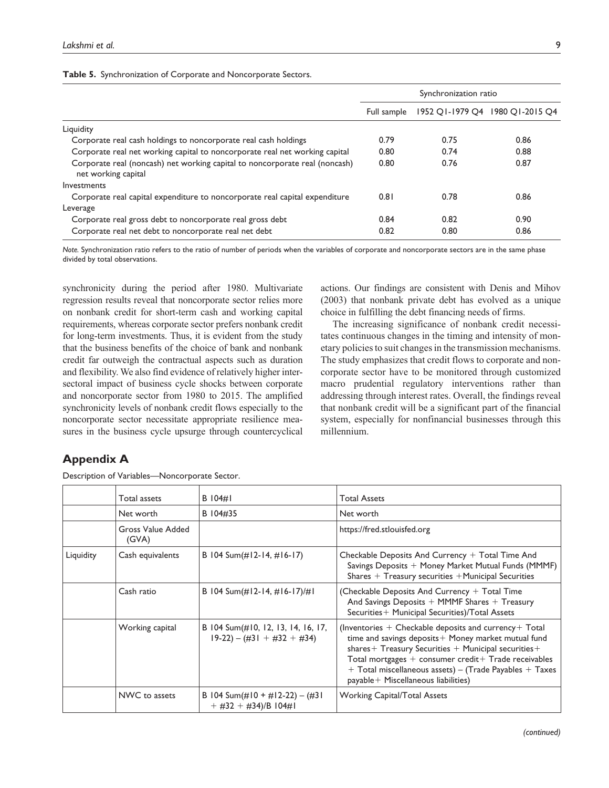|                                                                                                    | Synchronization ratio |      |                                 |
|----------------------------------------------------------------------------------------------------|-----------------------|------|---------------------------------|
|                                                                                                    | Full sample           |      | 1952 OI-1979 O4 1980 OI-2015 O4 |
| Liquidity                                                                                          |                       |      |                                 |
| Corporate real cash holdings to noncorporate real cash holdings                                    | 0.79                  | 0.75 | 0.86                            |
| Corporate real net working capital to noncorporate real net working capital                        | 0.80                  | 0.74 | 0.88                            |
| Corporate real (noncash) net working capital to noncorporate real (noncash)<br>net working capital | 0.80                  | 0.76 | 0.87                            |
| Investments                                                                                        |                       |      |                                 |
| Corporate real capital expenditure to noncorporate real capital expenditure                        | 0.81                  | 0.78 | 0.86                            |
| Leverage                                                                                           |                       |      |                                 |
| Corporate real gross debt to noncorporate real gross debt                                          | 0.84                  | 0.82 | 0.90                            |
| Corporate real net debt to noncorporate real net debt                                              | 0.82                  | 0.80 | 0.86                            |

*Note.* Synchronization ratio refers to the ratio of number of periods when the variables of corporate and noncorporate sectors are in the same phase divided by total observations.

synchronicity during the period after 1980. Multivariate regression results reveal that noncorporate sector relies more on nonbank credit for short-term cash and working capital requirements, whereas corporate sector prefers nonbank credit for long-term investments. Thus, it is evident from the study that the business benefits of the choice of bank and nonbank credit far outweigh the contractual aspects such as duration and flexibility. We also find evidence of relatively higher intersectoral impact of business cycle shocks between corporate and noncorporate sector from 1980 to 2015. The amplified synchronicity levels of nonbank credit flows especially to the noncorporate sector necessitate appropriate resilience measures in the business cycle upsurge through countercyclical

actions. Our findings are consistent with Denis and Mihov (2003) that nonbank private debt has evolved as a unique choice in fulfilling the debt financing needs of firms.

The increasing significance of nonbank credit necessitates continuous changes in the timing and intensity of monetary policies to suit changes in the transmission mechanisms. The study emphasizes that credit flows to corporate and noncorporate sector have to be monitored through customized macro prudential regulatory interventions rather than addressing through interest rates. Overall, the findings reveal that nonbank credit will be a significant part of the financial system, especially for nonfinancial businesses through this millennium.

# **Appendix A**

| Description of Variables-Noncorporate Sector. |  |  |
|-----------------------------------------------|--|--|
|                                               |  |  |

|           | Total assets               | $B$ $104\#$                                                         | <b>Total Assets</b>                                                                                                                                                                                                                                                                                                                            |
|-----------|----------------------------|---------------------------------------------------------------------|------------------------------------------------------------------------------------------------------------------------------------------------------------------------------------------------------------------------------------------------------------------------------------------------------------------------------------------------|
|           | Net worth                  | B 104#35                                                            | Net worth                                                                                                                                                                                                                                                                                                                                      |
|           | Gross Value Added<br>(GVA) |                                                                     | https://fred.stlouisfed.org                                                                                                                                                                                                                                                                                                                    |
| Liquidity | Cash equivalents           | B 104 Sum(#12-14, #16-17)                                           | Checkable Deposits And Currency + Total Time And<br>Savings Deposits + Money Market Mutual Funds (MMMF)<br>Shares $+$ Treasury securities $+$ Municipal Securities                                                                                                                                                                             |
|           | Cash ratio                 | B 104 Sum(#12-14, #16-17)/#1                                        | (Checkable Deposits And Currency + Total Time<br>And Savings Deposits $+$ MMMF Shares $+$ Treasury<br>Securities + Municipal Securities)/Total Assets                                                                                                                                                                                          |
|           | Working capital            | B 104 Sum(#10, 12, 13, 14, 16, 17,<br>$19-22$ ) – (#31 + #32 + #34) | (Inventories $+$ Checkable deposits and currency $+$ Total<br>time and savings deposits + Money market mutual fund<br>shares + Treasury Securities + Municipal securities +<br>Total mortgages $+$ consumer credit $+$ Trade receivables<br>$+$ Total miscellaneous assets) – (Trade Payables $+$ Taxes<br>payable+ Miscellaneous liabilities) |
|           | NWC to assets              | B 104 Sum(#10 + #12-22) - (#31)<br>$+$ #32 + #34)/B 104#1           | <b>Working Capital/Total Assets</b>                                                                                                                                                                                                                                                                                                            |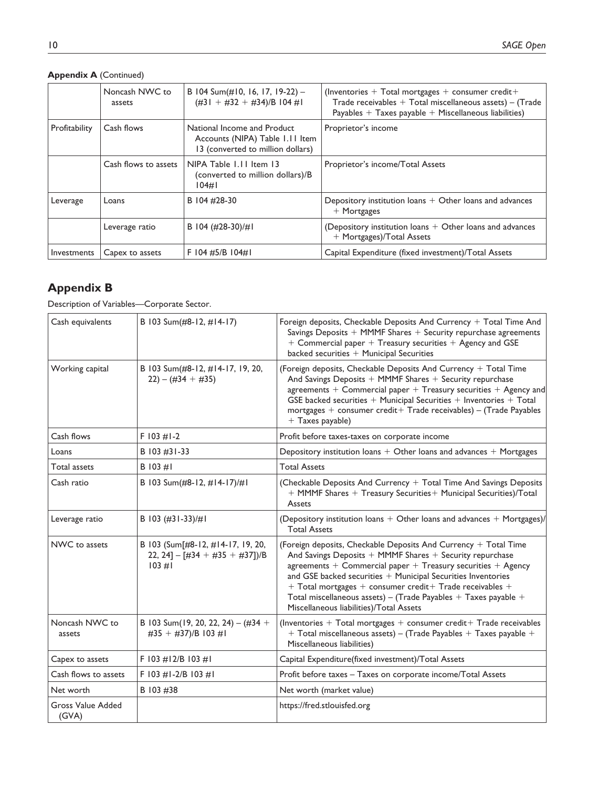|               | Noncash NWC to<br>assets | B 104 Sum(#10, 16, 17, 19-22) -<br>$(\#31 + \#32 + \#34)/B$ 104 #1                                  | (Inventories $+$ Total mortgages $+$ consumer credit $+$<br>Trade receivables $+$ Total miscellaneous assets) $-$ (Trade<br>Payables $+$ Taxes payable $+$ Miscellaneous liabilities) |
|---------------|--------------------------|-----------------------------------------------------------------------------------------------------|---------------------------------------------------------------------------------------------------------------------------------------------------------------------------------------|
| Profitability | Cash flows               | National Income and Product<br>Accounts (NIPA) Table 1.11 Item<br>13 (converted to million dollars) | Proprietor's income                                                                                                                                                                   |
|               | Cash flows to assets     | NIPA Table 1.11 Item 13<br>(converted to million dollars)/B<br>$104\#$                              | Proprietor's income/Total Assets                                                                                                                                                      |
| Leverage      | Loans                    | B 104 #28-30                                                                                        | Depository institution loans $+$ Other loans and advances<br>$+$ Mortgages                                                                                                            |
|               | Leverage ratio           | B 104 (#28-30)/#1                                                                                   | (Depository institution loans $+$ Other loans and advances<br>+ Mortgages)/Total Assets                                                                                               |
| Investments   | Capex to assets          | F 104 #5/B 104#1                                                                                    | Capital Expenditure (fixed investment)/Total Assets                                                                                                                                   |

# **Appendix A** (Continued)

# **Appendix B**

Description of Variables—Corporate Sector.

| Cash equivalents                  | B 103 Sum(#8-12, #14-17)                                                      | Foreign deposits, Checkable Deposits And Currency + Total Time And<br>Savings Deposits $+$ MMMF Shares $+$ Security repurchase agreements<br>$+$ Commercial paper $+$ Treasury securities $+$ Agency and GSE<br>backed securities $+$ Municipal Securities                                                                                                                                                                                                   |
|-----------------------------------|-------------------------------------------------------------------------------|--------------------------------------------------------------------------------------------------------------------------------------------------------------------------------------------------------------------------------------------------------------------------------------------------------------------------------------------------------------------------------------------------------------------------------------------------------------|
| Working capital                   | B 103 Sum(#8-12, #14-17, 19, 20,<br>$(22) - (434 + 435)$                      | (Foreign deposits, Checkable Deposits And Currency + Total Time<br>And Savings Deposits + MMMF Shares + Security repurchase<br>agreements $+$ Commercial paper $+$ Treasury securities $+$ Agency and<br>GSE backed securities $+$ Municipal Securities $+$ Inventories $+$ Total<br>mortgages + consumer $\text{credit}+ \text{Trade}$ receivables) – (Trade Payables<br>+ Taxes payable)                                                                   |
| Cash flows                        | $F$ 103 #1-2                                                                  | Profit before taxes-taxes on corporate income                                                                                                                                                                                                                                                                                                                                                                                                                |
| Loans                             | B 103 #31-33                                                                  | Depository institution loans $+$ Other loans and advances $+$ Mortgages                                                                                                                                                                                                                                                                                                                                                                                      |
| Total assets                      | $B$ 103 #1                                                                    | <b>Total Assets</b>                                                                                                                                                                                                                                                                                                                                                                                                                                          |
| Cash ratio                        | B 103 Sum(#8-12, #14-17)/#1                                                   | (Checkable Deposits And Currency + Total Time And Savings Deposits<br>+ MMMF Shares + Treasury Securities + Municipal Securities)/Total<br>Assets                                                                                                                                                                                                                                                                                                            |
| Leverage ratio                    | B 103 (#31-33)/#1                                                             | (Depository institution loans $+$ Other loans and advances $+$ Mortgages)/<br><b>Total Assets</b>                                                                                                                                                                                                                                                                                                                                                            |
| NWC to assets                     | B 103 (Sum[#8-12, #14-17, 19, 20,<br>22, 24] - [#34 + #35 + #37])/B<br>103 #1 | (Foreign deposits, Checkable Deposits And Currency $+$ Total Time<br>And Savings Deposits + MMMF Shares + Security repurchase<br>agreements $+$ Commercial paper $+$ Treasury securities $+$ Agency<br>and GSE backed securities $+$ Municipal Securities Inventories<br>$+$ Total mortgages $+$ consumer credit $+$ Trade receivables $+$<br>Total miscellaneous assets) - (Trade Payables $+$ Taxes payable $+$<br>Miscellaneous liabilities)/Total Assets |
| Noncash NWC to<br>assets          | B 103 Sum(19, 20, 22, 24) - $(\#34 +$<br>#35 + #37)/B 103 #1                  | (Inventories $+$ Total mortgages $+$ consumer credit $+$ Trade receivables<br>$+$ Total miscellaneous assets) – (Trade Payables $+$ Taxes payable $+$<br>Miscellaneous liabilities)                                                                                                                                                                                                                                                                          |
| Capex to assets                   | F 103 #12/B 103 #1                                                            | Capital Expenditure(fixed investment)/Total Assets                                                                                                                                                                                                                                                                                                                                                                                                           |
| Cash flows to assets              | F 103 $\#1-2/B$ 103 $\#1$                                                     | Profit before taxes - Taxes on corporate income/Total Assets                                                                                                                                                                                                                                                                                                                                                                                                 |
| Net worth                         | B 103 #38                                                                     | Net worth (market value)                                                                                                                                                                                                                                                                                                                                                                                                                                     |
| <b>Gross Value Added</b><br>(GVA) |                                                                               | https://fred.stlouisfed.org                                                                                                                                                                                                                                                                                                                                                                                                                                  |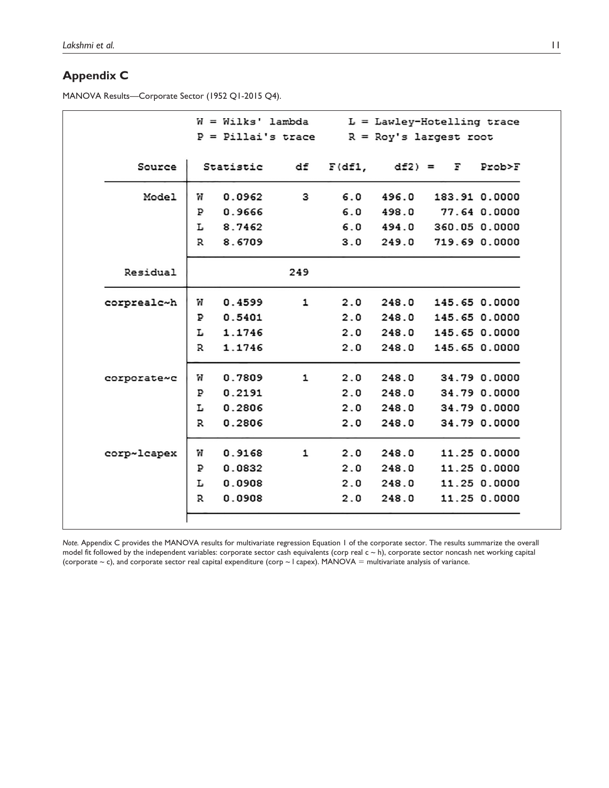# **Appendix C**

MANOVA Results—Corporate Sector (1952 Q1-2015 Q4).

|             |   | W = Wilks' lambda    |     |        |         | $L =$ Lawley-Hotelling trace |              |
|-------------|---|----------------------|-----|--------|---------|------------------------------|--------------|
|             |   | $P =$ Pillai's trace |     |        |         | $R = Roy's largest root$     |              |
| Source      |   | Statistic            | df  | F(df1, | $df2 =$ | F                            | Prob>F       |
| Model       | W | 0.0962               | З   | 6.0    | 496.0   | 183.91 0.0000                |              |
|             | ₽ | 0.9666               |     | 6.0    | 498.0   |                              | 77.64 0.0000 |
|             | L | 8.7462               |     | 6.0    | 494.0   | 360.05 0.0000                |              |
|             | R | 8.6709               |     | 3.0    | 249.0   | 719.69 0.0000                |              |
| Residual    |   |                      | 249 |        |         |                              |              |
| corprealc~h | W | 0.4599               | 1   | 2.0    | 248.0   | 145.65 0.0000                |              |
|             | ₽ | 0.5401               |     | 2.0    | 248.0   | 145.65 0.0000                |              |
|             | г | 1.1746               |     | 2.0    | 248.0   | 145.65 0.0000                |              |
|             | R | 1.1746               |     | 2.0    | 248.0   | 145.65 0.0000                |              |
| corporate~c | W | 0.7809               | 1   | 2.0    | 248.0   |                              | 34.79 0.0000 |
|             | ₽ | 0.2191               |     | 2.0    | 248.0   |                              | 34.79 0.0000 |
|             | L | 0.2806               |     | 2.0    | 248.0   |                              | 34.79 0.0000 |
|             | R | 0.2806               |     | 2.0    | 248.0   |                              | 34.79 0.0000 |
| corp~lcapex | W | 0.9168               | 1   | 2.0    | 248.0   |                              | 11.25 0.0000 |
|             | ₽ | 0.0832               |     | 2.0    | 248.0   |                              | 11.25 0.0000 |
|             | г | 0.0908               |     | 2.0    | 248.0   |                              | 11.25 0.0000 |
|             | R | 0.0908               |     | 2.0    | 248.0   |                              | 11.25 0.0000 |

*Note.* Appendix C provides the MANOVA results for multivariate regression Equation 1 of the corporate sector. The results summarize the overall model fit followed by the independent variables: corporate sector cash equivalents (corp real c ~ h), corporate sector noncash net working capital (corporate  $\sim$  c), and corporate sector real capital expenditure (corp  $\sim$  I capex). MANOVA = multivariate analysis of variance.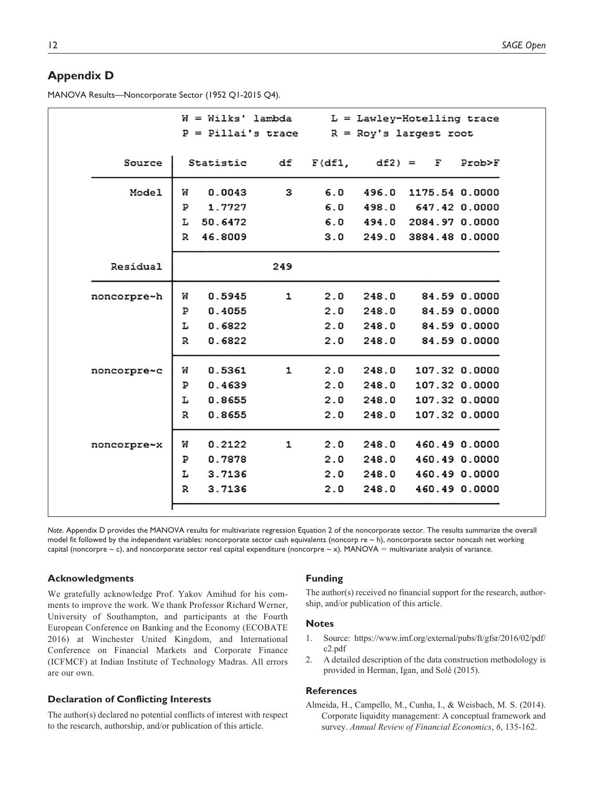# **Appendix D**

MANOVA Results—Noncorporate Sector (1952 Q1-2015 Q4).

|             | W = Wilks' lambda |                      |     | $L =$ Lawley-Hotelling trace |             |                        |              |
|-------------|-------------------|----------------------|-----|------------------------------|-------------|------------------------|--------------|
|             |                   | $P =$ Pillai's trace |     |                              |             | R = Roy's largest root |              |
| Source      |                   | Statistic            | df  | F(df1,                       | $df2$ ) = F |                        | Prob>F       |
| Model       | w                 | 0.0043               | З   | 6.0                          | 496.0       | 1175.54 0.0000         |              |
|             | Р                 | 1.7727               |     | 6.0                          | 498.0       | 647.42 0.0000          |              |
|             | L                 | 50.6472              |     | 6.0                          | 494.0       | 2084.97 0.0000         |              |
|             | R                 | 46.8009              |     | 3.0                          | 249.0       | 3884.48 0.0000         |              |
| Residual    |                   |                      | 249 |                              |             |                        |              |
| noncorpre~h | W                 | 0.5945               | 1   | 2.0                          | 248.0       | 84.59 0.0000           |              |
|             | ₽                 | 0.4055               |     | 2.0                          | 248.0       |                        | 84.59 0.0000 |
|             | L                 | 0.6822               |     | 2.0                          | 248.0       |                        | 84.59 0.0000 |
|             | R                 | 0.6822               |     | 2.0                          | 248.0       |                        | 84.59 0.0000 |
| noncorpre~c | W                 | 0.5361               | 1   | 2.0                          | 248.0       | 107.32 0.0000          |              |
|             | ₽                 | 0.4639               |     | 2.0                          | 248.0       | 107.32 0.0000          |              |
|             | L                 | 0.8655               |     | 2.0                          | 248.0       | 107.32 0.0000          |              |
|             | R                 | 0.8655               |     | 2.0                          | 248.0       | 107.32 0.0000          |              |
| noncorpre~x | W                 | 0.2122               | 1   | 2.0                          | 248.0       | 460.49 0.0000          |              |
|             | ₽                 | 0.7878               |     | 2.0                          | 248.0       | 460.49 0.0000          |              |
|             | L                 | 3.7136               |     | 2.0                          | 248.0       | 460.49 0.0000          |              |
|             |                   |                      |     |                              |             |                        |              |

*Note.* Appendix D provides the MANOVA results for multivariate regression Equation 2 of the noncorporate sector. The results summarize the overall model fit followed by the independent variables: noncorporate sector cash equivalents (noncorp re  $\sim$  h), noncorporate sector noncash net working capital (noncorpre  $\sim$  c), and noncorporate sector real capital expenditure (noncorpre  $\sim$  x). MANOVA = multivariate analysis of variance.

#### **Acknowledgments**

We gratefully acknowledge Prof. Yakov Amihud for his comments to improve the work. We thank Professor Richard Werner, University of Southampton, and participants at the Fourth European Conference on Banking and the Economy (ECOBATE 2016) at Winchester United Kingdom, and International Conference on Financial Markets and Corporate Finance (ICFMCF) at Indian Institute of Technology Madras. All errors are our own.

### **Declaration of Conflicting Interests**

The author(s) declared no potential conflicts of interest with respect to the research, authorship, and/or publication of this article.

#### **Funding**

The author(s) received no financial support for the research, authorship, and/or publication of this article.

#### **Notes**

- 1. Source: https://www.imf.org/external/pubs/ft/gfsr/2016/02/pdf/ c2.pdf
- 2. A detailed description of the data construction methodology is provided in Herman, Igan, and Solé (2015).

### **References**

Almeida, H., Campello, M., Cunha, I., & Weisbach, M. S. (2014). Corporate liquidity management: A conceptual framework and survey. *Annual Review of Financial Economics*, *6*, 135-162.